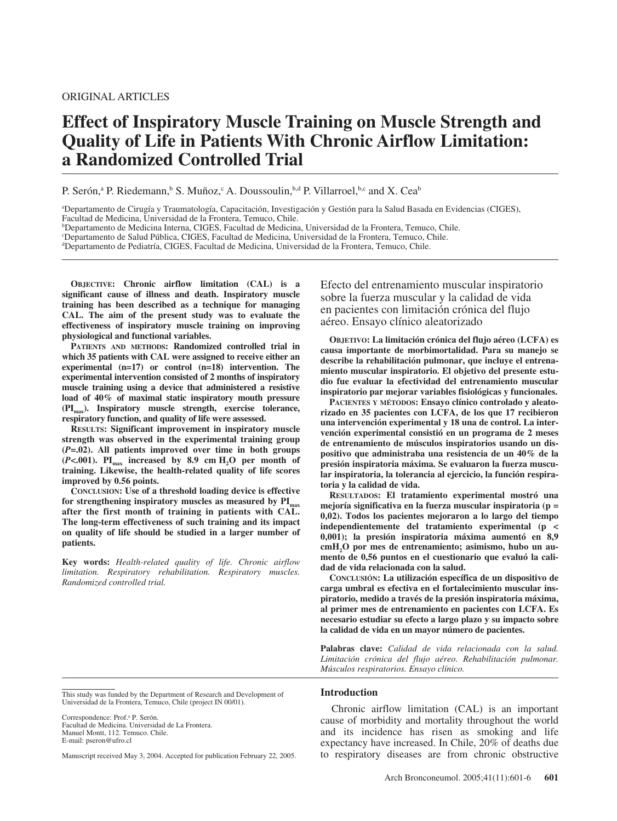## ORIGINAL ARTICLES

# **Effect of Inspiratory Muscle Training on Muscle Strength and Quality of Life in Patients With Chronic Airflow Limitation: a Randomized Controlled Trial**

P. Serón,<sup>a</sup> P. Riedemann,<sup>b</sup> S. Muñoz,<sup>c</sup> A. Doussoulin, b,d P. Villarroel, b,c and X. Cea<sup>b</sup>

a Departamento de Cirugía y Traumatología, Capacitación, Investigación y Gestión para la Salud Basada en Evidencias (CIGES), Facultad de Medicina, Universidad de la Frontera, Temuco, Chile.

b Departamento de Medicina Interna, CIGES, Facultad de Medicina, Universidad de la Frontera, Temuco, Chile.

c Departamento de Salud Pública, CIGES, Facultad de Medicina, Universidad de la Frontera, Temuco, Chile.

d Departamento de Pediatría, CIGES, Facultad de Medicina, Universidad de la Frontera, Temuco, Chile.

**OBJECTIVE: Chronic airflow limitation (CAL) is a significant cause of illness and death. Inspiratory muscle training has been described as a technique for managing CAL. The aim of the present study was to evaluate the effectiveness of inspiratory muscle training on improving physiological and functional variables.**

**PATIENTS AND METHODS: Randomized controlled trial in which 35 patients with CAL were assigned to receive either an experimental (n=17) or control (n=18) intervention. The experimental intervention consisted of 2 months of inspiratory muscle training using a device that administered a resistive load of 40% of maximal static inspiratory mouth pressure (PImax). Inspiratory muscle strength, exercise tolerance, respiratory function, and quality of life were assessed.** 

**RESULTS: Significant improvement in inspiratory muscle strength was observed in the experimental training group (***P***=.02). All patients improved over time in both groups**  $(P<.001)$ . PI<sub>max</sub> increased by 8.9 cm H<sub>2</sub>O per month of **training. Likewise, the health-related quality of life scores improved by 0.56 points.**

**CONCLUSION: Use of a threshold loading device is effective** for strengthening inspiratory muscles as measured by  $\text{PI}_{\text{max}}$ **after the first month of training in patients with CAL. The long-term effectiveness of such training and its impact on quality of life should be studied in a larger number of patients.**

**Key words:** *Health-related quality of life. Chronic airflow limitation. Respiratory rehabilitation. Respiratory muscles. Randomized controlled trial.*

Efecto del entrenamiento muscular inspiratorio sobre la fuerza muscular y la calidad de vida en pacientes con limitación crónica del flujo aéreo. Ensayo clínico aleatorizado

**OBJETIVO: La limitación crónica del flujo aéreo (LCFA) es causa importante de morbimortalidad. Para su manejo se describe la rehabilitación pulmonar, que incluye el entrenamiento muscular inspiratorio. El objetivo del presente estudio fue evaluar la efectividad del entrenamiento muscular inspiratorio par mejorar variables fisiológicas y funcionales.**

**PACIENTES Y MÉTODOS: Ensayo clínico controlado y aleatorizado en 35 pacientes con LCFA, de los que 17 recibieron una intervención experimental y 18 una de control. La intervención experimental consistió en un programa de 2 meses de entrenamiento de músculos inspiratorios usando un dispositivo que administraba una resistencia de un 40% de la presión inspiratoria máxima. Se evaluaron la fuerza muscular inspiratoria, la tolerancia al ejercicio, la función respiratoria y la calidad de vida.** 

**RESULTADOS: El tratamiento experimental mostró una mejoría significativa en la fuerza muscular inspiratoria (p = 0,02). Todos los pacientes mejoraron a lo largo del tiempo independientemente del tratamiento experimental (p < 0,001); la presión inspiratoria máxima aumentó en 8,9** cmH<sub>2</sub>O por mes de entrenamiento; asimismo, hubo un au**mento de 0,56 puntos en el cuestionario que evaluó la calidad de vida relacionada con la salud.**

**CONCLUSIÓN: La utilización específica de un dispositivo de carga umbral es efectiva en el fortalecimiento muscular inspiratorio, medido a través de la presión inspiratoria máxima, al primer mes de entrenamiento en pacientes con LCFA. Es necesario estudiar su efecto a largo plazo y su impacto sobre la calidad de vida en un mayor número de pacientes.**

**Palabras clave:** *Calidad de vida relacionada con la salud. Limitación crónica del flujo aéreo. Rehabilitación pulmonar. Músculos respiratorios. Ensayo clínico.*

Correspondence: Prof.<sup>a</sup> P. Serón.

Facultad de Medicina. Universidad de La Frontera. Manuel Montt, 112. Temuco. Chile. E-mail: pseron@ufro.cl

Manuscript received May 3, 2004. Accepted for publication February 22, 2005.

#### **Introduction**

Chronic airflow limitation (CAL) is an important cause of morbidity and mortality throughout the world and its incidence has risen as smoking and life expectancy have increased. In Chile, 20% of deaths due to respiratory diseases are from chronic obstructive

This study was funded by the Department of Research and Development of Universidad de la Frontera, Temuco, Chile (project IN 00/01).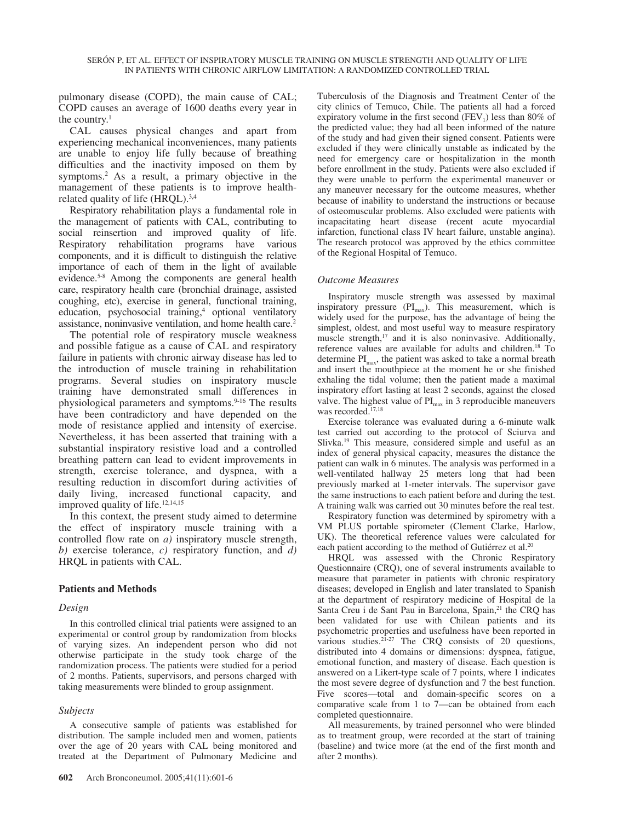pulmonary disease (COPD), the main cause of CAL; COPD causes an average of 1600 deaths every year in the country. $1$ 

CAL causes physical changes and apart from experiencing mechanical inconveniences, many patients are unable to enjoy life fully because of breathing difficulties and the inactivity imposed on them by symptoms.2 As a result, a primary objective in the management of these patients is to improve healthrelated quality of life (HRQL).3,4

Respiratory rehabilitation plays a fundamental role in the management of patients with CAL, contributing to social reinsertion and improved quality of life. Respiratory rehabilitation programs have various components, and it is difficult to distinguish the relative importance of each of them in the light of available evidence.<sup>5-8</sup> Among the components are general health care, respiratory health care (bronchial drainage, assisted coughing, etc), exercise in general, functional training, education, psychosocial training,<sup>4</sup> optional ventilatory assistance, noninvasive ventilation, and home health care.2

The potential role of respiratory muscle weakness and possible fatigue as a cause of CAL and respiratory failure in patients with chronic airway disease has led to the introduction of muscle training in rehabilitation programs. Several studies on inspiratory muscle training have demonstrated small differences in physiological parameters and symptoms.<sup>9-16</sup> The results have been contradictory and have depended on the mode of resistance applied and intensity of exercise. Nevertheless, it has been asserted that training with a substantial inspiratory resistive load and a controlled breathing pattern can lead to evident improvements in strength, exercise tolerance, and dyspnea, with a resulting reduction in discomfort during activities of daily living, increased functional capacity, and improved quality of life.<sup>12,14,15</sup>

In this context, the present study aimed to determine the effect of inspiratory muscle training with a controlled flow rate on *a)* inspiratory muscle strength, *b)* exercise tolerance, *c)* respiratory function, and *d)* HRQL in patients with CAL.

# **Patients and Methods**

# *Design*

In this controlled clinical trial patients were assigned to an experimental or control group by randomization from blocks of varying sizes. An independent person who did not otherwise participate in the study took charge of the randomization process. The patients were studied for a period of 2 months. Patients, supervisors, and persons charged with taking measurements were blinded to group assignment.

# *Subjects*

A consecutive sample of patients was established for distribution. The sample included men and women, patients over the age of 20 years with CAL being monitored and treated at the Department of Pulmonary Medicine and

Tuberculosis of the Diagnosis and Treatment Center of the city clinics of Temuco, Chile. The patients all had a forced expiratory volume in the first second (FEV<sub>1</sub>) less than 80% of the predicted value; they had all been informed of the nature of the study and had given their signed consent. Patients were excluded if they were clinically unstable as indicated by the need for emergency care or hospitalization in the month before enrollment in the study. Patients were also excluded if they were unable to perform the experimental maneuver or any maneuver necessary for the outcome measures, whether because of inability to understand the instructions or because of osteomuscular problems. Also excluded were patients with incapacitating heart disease (recent acute myocardial infarction, functional class IV heart failure, unstable angina). The research protocol was approved by the ethics committee of the Regional Hospital of Temuco.

# *Outcome Measures*

Inspiratory muscle strength was assessed by maximal inspiratory pressure  $(PI_{max})$ . This measurement, which is widely used for the purpose, has the advantage of being the simplest, oldest, and most useful way to measure respiratory muscle strength,<sup>17</sup> and it is also noninvasive. Additionally, reference values are available for adults and children.18 To determine  $PI_{max}$ , the patient was asked to take a normal breath and insert the mouthpiece at the moment he or she finished exhaling the tidal volume; then the patient made a maximal inspiratory effort lasting at least 2 seconds, against the closed valve. The highest value of  $PI_{\text{max}}$  in 3 reproducible maneuvers was recorded.<sup>17,18</sup>

Exercise tolerance was evaluated during a 6-minute walk test carried out according to the protocol of Sciurva and Slivka.19 This measure, considered simple and useful as an index of general physical capacity, measures the distance the patient can walk in 6 minutes. The analysis was performed in a well-ventilated hallway 25 meters long that had been previously marked at 1-meter intervals. The supervisor gave the same instructions to each patient before and during the test. A training walk was carried out 30 minutes before the real test.

Respiratory function was determined by spirometry with a VM PLUS portable spirometer (Clement Clarke, Harlow, UK). The theoretical reference values were calculated for each patient according to the method of Gutiérrez et al.<sup>20</sup>

HRQL was assessed with the Chronic Respiratory Questionnaire (CRQ), one of several instruments available to measure that parameter in patients with chronic respiratory diseases; developed in English and later translated to Spanish at the department of respiratory medicine of Hospital de la Santa Creu i de Sant Pau in Barcelona, Spain,<sup>21</sup> the CRQ has been validated for use with Chilean patients and its psychometric properties and usefulness have been reported in various studies.<sup>21-27</sup> The CRQ consists of 20 questions, distributed into 4 domains or dimensions: dyspnea, fatigue, emotional function, and mastery of disease. Each question is answered on a Likert-type scale of 7 points, where 1 indicates the most severe degree of dysfunction and 7 the best function. Five scores—total and domain-specific scores on a comparative scale from 1 to 7—can be obtained from each completed questionnaire.

All measurements, by trained personnel who were blinded as to treatment group, were recorded at the start of training (baseline) and twice more (at the end of the first month and after 2 months).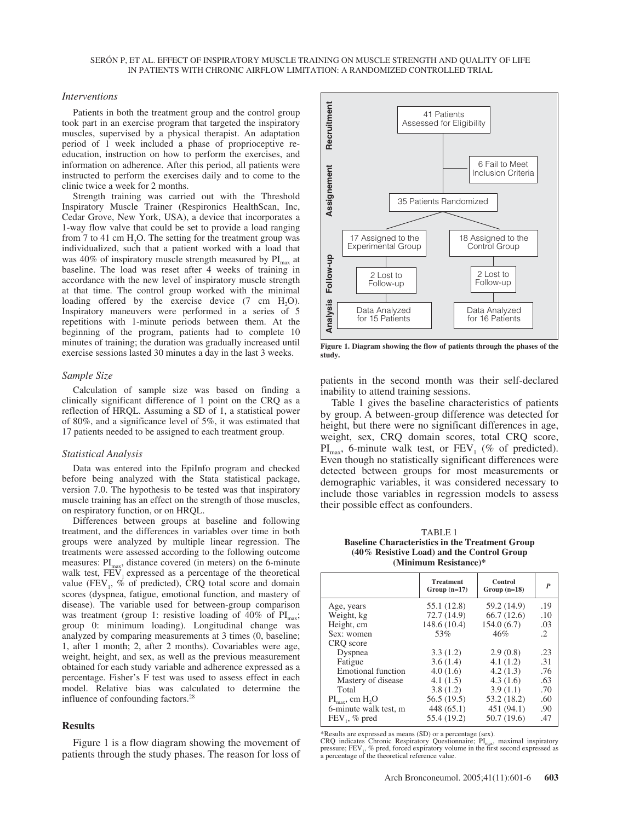#### *Interventions*

Patients in both the treatment group and the control group took part in an exercise program that targeted the inspiratory muscles, supervised by a physical therapist. An adaptation period of 1 week included a phase of proprioceptive reeducation, instruction on how to perform the exercises, and information on adherence. After this period, all patients were instructed to perform the exercises daily and to come to the clinic twice a week for 2 months.

Strength training was carried out with the Threshold Inspiratory Muscle Trainer (Respironics HealthScan, Inc, Cedar Grove, New York, USA), a device that incorporates a 1-way flow valve that could be set to provide a load ranging from  $7$  to  $41$  cm  $H<sub>2</sub>O$ . The setting for the treatment group was individualized, such that a patient worked with a load that was 40% of inspiratory muscle strength measured by  $PI_{\text{max}}$  at baseline. The load was reset after 4 weeks of training in accordance with the new level of inspiratory muscle strength at that time. The control group worked with the minimal loading offered by the exercise device  $(7 \text{ cm } H<sub>2</sub>O)$ . Inspiratory maneuvers were performed in a series of 5 repetitions with 1-minute periods between them. At the beginning of the program, patients had to complete 10 minutes of training; the duration was gradually increased until exercise sessions lasted 30 minutes a day in the last 3 weeks.

#### *Sample Size*

Calculation of sample size was based on finding a clinically significant difference of 1 point on the CRQ as a reflection of HRQL. Assuming a SD of 1, a statistical power of 80%, and a significance level of 5%, it was estimated that 17 patients needed to be assigned to each treatment group.

#### *Statistical Analysis*

Data was entered into the EpiInfo program and checked before being analyzed with the Stata statistical package, version 7.0. The hypothesis to be tested was that inspiratory muscle training has an effect on the strength of those muscles, on respiratory function, or on HRQL.

Differences between groups at baseline and following treatment, and the differences in variables over time in both groups were analyzed by multiple linear regression. The treatments were assessed according to the following outcome measures:  $PI_{\text{max}}$ , distance covered (in meters) on the 6-minute walk test,  $FEV<sub>1</sub>$  expressed as a percentage of the theoretical value (FEV<sub>1</sub>,  $\%$  of predicted), CRQ total score and domain scores (dyspnea, fatigue, emotional function, and mastery of disease). The variable used for between-group comparison was treatment (group 1: resistive loading of 40% of  $\text{PI}_{\text{max}}$ ; group 0: minimum loading). Longitudinal change was analyzed by comparing measurements at 3 times (0, baseline; 1, after 1 month; 2, after 2 months). Covariables were age, weight, height, and sex, as well as the previous measurement obtained for each study variable and adherence expressed as a percentage. Fisher's F test was used to assess effect in each model. Relative bias was calculated to determine the influence of confounding factors.<sup>28</sup>

#### **Results**

Figure 1 is a flow diagram showing the movement of patients through the study phases. The reason for loss of



**Figure 1. Diagram showing the flow of patients through the phases of the study.**

patients in the second month was their self-declared inability to attend training sessions.

Table 1 gives the baseline characteristics of patients by group. A between-group difference was detected for height, but there were no significant differences in age, weight, sex, CRQ domain scores, total CRQ score,  $PI_{\text{max}}$ , 6-minute walk test, or  $FEV_1$  (% of predicted). Even though no statistically significant differences were detected between groups for most measurements or demographic variables, it was considered necessary to include those variables in regression models to assess their possible effect as confounders.

TABLE 1 **Baseline Characteristics in the Treatment Group (40% Resistive Load) and the Control Group (Minimum Resistance)\***

|                                                                                                                                                                    | <b>Treatment</b><br>$Group (n=17)$                                                                  | Control<br>$Group (n=18)$                                                                            | P                                                    |
|--------------------------------------------------------------------------------------------------------------------------------------------------------------------|-----------------------------------------------------------------------------------------------------|------------------------------------------------------------------------------------------------------|------------------------------------------------------|
| Age, years<br>Weight, kg<br>Height, cm<br>Sex: women                                                                                                               | 55.1 (12.8)<br>72.7 (14.9)<br>148.6(10.4)<br>53%                                                    | 59.2 (14.9)<br>66.7(12.6)<br>154.0(6.7)<br>46%                                                       | .19<br>.10<br>.03<br>$\mathcal{L}$                   |
| CRO score<br>Dyspnea<br>Fatigue<br><b>Emotional function</b><br>Mastery of disease<br>Total<br>$PI_{max}$ , cm $H_2O$<br>6-minute walk test, m<br>$FEV_1$ , % pred | 3.3(1.2)<br>3.6(1.4)<br>4.0(1.6)<br>4.1(1.5)<br>3.8(1.2)<br>56.5 (19.5)<br>448(65.1)<br>55.4 (19.2) | 2.9(0.8)<br>4.1(1.2)<br>4.2(1.3)<br>4.3(1.6)<br>3.9(1.1)<br>53.2 (18.2)<br>451 (94.1)<br>50.7 (19.6) | .23<br>.31<br>.76<br>.63<br>.70<br>.60<br>.90<br>.47 |

\*Results are expressed as means (SD) or a percentage (sex).

CRQ indicates Chronic Respiratory Questionnaire;  $PI_{max}$ , maximal inspiratory pressure;  $FEV_{1}$ , % pred, forced expiratory volume in the first second expressed as a percentage of the theoretical reference value.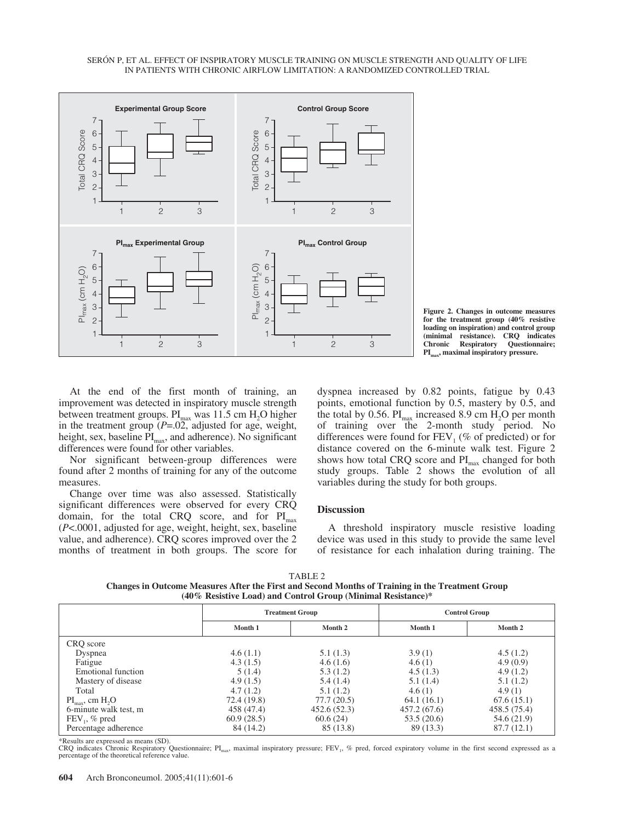

**Figure 2. Changes in outcome measures for the treatment group (40% resistive loading on inspiration) and control group (minimal resistance). CRQ indicates** Questionnaire; PI<sub>max</sub>, maximal inspiratory pressure.

At the end of the first month of training, an improvement was detected in inspiratory muscle strength between treatment groups.  $PI_{max}$  was 11.5 cm  $H_2O$  higher in the treatment group (*P*=.02, adjusted for age, weight, height, sex, baseline PI<sub>max</sub>, and adherence). No significant differences were found for other variables.

Nor significant between-group differences were found after 2 months of training for any of the outcome measures.

Change over time was also assessed. Statistically significant differences were observed for every CRQ domain, for the total CRQ score, and for  $PI<sub>max</sub>$ (*P*<.0001, adjusted for age, weight, height, sex, baseline value, and adherence). CRQ scores improved over the 2 months of treatment in both groups. The score for dyspnea increased by 0.82 points, fatigue by 0.43 points, emotional function by 0.5, mastery by 0.5, and the total by 0.56.  $PI_{max}$  increased 8.9 cm  $H_2O$  per month of training over the 2-month study period. No differences were found for  $FEV<sub>1</sub>$  (% of predicted) or for distance covered on the 6-minute walk test. Figure 2 shows how total CRQ score and  $PI_{max}$  changed for both study groups. Table 2 shows the evolution of all variables during the study for both groups.

## **Discussion**

A threshold inspiratory muscle resistive loading device was used in this study to provide the same level of resistance for each inhalation during training. The

TABLE 2

**Changes in Outcome Measures After the First and Second Months of Training in the Treatment Group (40% Resistive Load) and Control Group (Minimal Resistance)\***

|                                                      | <b>Treatment Group</b> |             | <b>Control Group</b> |              |
|------------------------------------------------------|------------------------|-------------|----------------------|--------------|
|                                                      | Month 1                | Month 2     | Month 1              | Month 2      |
| CRQ score                                            |                        |             |                      |              |
| Dyspnea                                              | 4.6(1.1)               | 5.1(1.3)    | 3.9(1)               | 4.5(1.2)     |
| Fatigue                                              | 4.3(1.5)               | 4.6(1.6)    | 4.6(1)               | 4.9(0.9)     |
| Emotional function                                   | 5(1.4)                 | 5.3(1.2)    | 4.5(1.3)             | 4.9(1.2)     |
| Mastery of disease                                   | 4.9(1.5)               | 5.4(1.4)    | 5.1(1.4)             | 5.1(1.2)     |
| Total                                                | 4.7(1.2)               | 5.1(1.2)    | 4.6(1)               | 4.9(1)       |
| $\text{PI}_{\text{max}}$ , cm $\text{H}_{2}\text{O}$ | 72.4 (19.8)            | 77.7(20.5)  | 64.1(16.1)           | 67.6(15.1)   |
| 6-minute walk test, m                                | 458 (47.4)             | 452.6(52.3) | 457.2(67.6)          | 458.5 (75.4) |
| $FEV_1$ , % pred                                     | 60.9(28.5)             | 60.6(24)    | 53.5(20.6)           | 54.6 (21.9)  |
| Percentage adherence                                 | 84 (14.2)              | 85 (13.8)   | 89 (13.3)            | 87.7(12.1)   |

\*Results are expressed as means (SD).

CRQ indicates Chronic Respiratory Questionnaire; PI<sub>max</sub>, maximal inspiratory pressure; FEV<sub>1</sub>, % pred, forced expiratory volume in the first second expressed as a percentage of the theoretical reference value.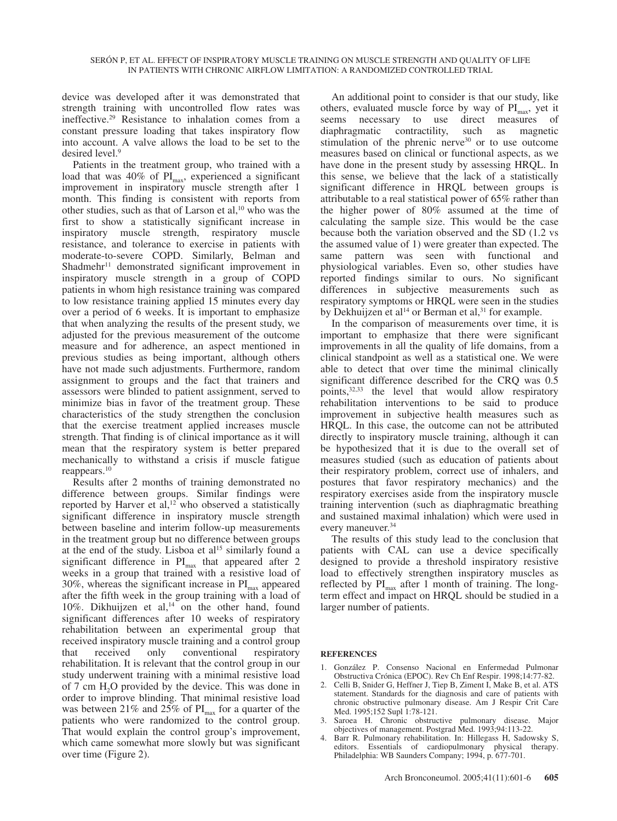device was developed after it was demonstrated that strength training with uncontrolled flow rates was ineffective.29 Resistance to inhalation comes from a constant pressure loading that takes inspiratory flow into account. A valve allows the load to be set to the desired level.9

Patients in the treatment group, who trained with a load that was  $40\%$  of PI<sub>max</sub>, experienced a significant improvement in inspiratory muscle strength after 1 month. This finding is consistent with reports from other studies, such as that of Larson et al,  $10$  who was the first to show a statistically significant increase in inspiratory muscle strength, respiratory muscle resistance, and tolerance to exercise in patients with moderate-to-severe COPD. Similarly, Belman and Shadmehr<sup>11</sup> demonstrated significant improvement in inspiratory muscle strength in a group of COPD patients in whom high resistance training was compared to low resistance training applied 15 minutes every day over a period of 6 weeks. It is important to emphasize that when analyzing the results of the present study, we adjusted for the previous measurement of the outcome measure and for adherence, an aspect mentioned in previous studies as being important, although others have not made such adjustments. Furthermore, random assignment to groups and the fact that trainers and assessors were blinded to patient assignment, served to minimize bias in favor of the treatment group. These characteristics of the study strengthen the conclusion that the exercise treatment applied increases muscle strength. That finding is of clinical importance as it will mean that the respiratory system is better prepared mechanically to withstand a crisis if muscle fatigue reappears.10

Results after 2 months of training demonstrated no difference between groups. Similar findings were reported by Harver et al, $12$  who observed a statistically significant difference in inspiratory muscle strength between baseline and interim follow-up measurements in the treatment group but no difference between groups at the end of the study. Lisboa et  $al<sup>15</sup>$  similarly found a significant difference in  $PI_{max}$  that appeared after 2 weeks in a group that trained with a resistive load of 30%, whereas the significant increase in  $PI_{\text{max}}$  appeared after the fifth week in the group training with a load of 10%. Dikhuijzen et al,<sup>14</sup> on the other hand, found significant differences after 10 weeks of respiratory rehabilitation between an experimental group that received inspiratory muscle training and a control group that received only conventional respiratory rehabilitation. It is relevant that the control group in our study underwent training with a minimal resistive load of 7 cm H<sub>2</sub>O provided by the device. This was done in order to improve blinding. That minimal resistive load was between 21% and 25% of  $PI_{max}$  for a quarter of the patients who were randomized to the control group. That would explain the control group's improvement, which came somewhat more slowly but was significant over time (Figure 2).

An additional point to consider is that our study, like others, evaluated muscle force by way of  $PI<sub>max</sub>$ , yet it seems necessary to use direct measures of diaphragmatic contractility, such as magnetic stimulation of the phrenic nerve<sup>30</sup> or to use outcome measures based on clinical or functional aspects, as we have done in the present study by assessing HRQL. In this sense, we believe that the lack of a statistically significant difference in HRQL between groups is attributable to a real statistical power of 65% rather than the higher power of 80% assumed at the time of calculating the sample size. This would be the case because both the variation observed and the SD (1.2 vs the assumed value of 1) were greater than expected. The same pattern was seen with functional and physiological variables. Even so, other studies have reported findings similar to ours. No significant differences in subjective measurements such as respiratory symptoms or HRQL were seen in the studies by Dekhuijzen et al<sup>14</sup> or Berman et al,<sup>31</sup> for example.

In the comparison of measurements over time, it is important to emphasize that there were significant improvements in all the quality of life domains, from a clinical standpoint as well as a statistical one. We were able to detect that over time the minimal clinically significant difference described for the CRQ was 0.5 points,32,33 the level that would allow respiratory rehabilitation interventions to be said to produce improvement in subjective health measures such as HRQL. In this case, the outcome can not be attributed directly to inspiratory muscle training, although it can be hypothesized that it is due to the overall set of measures studied (such as education of patients about their respiratory problem, correct use of inhalers, and postures that favor respiratory mechanics) and the respiratory exercises aside from the inspiratory muscle training intervention (such as diaphragmatic breathing and sustained maximal inhalation) which were used in every maneuver.<sup>34</sup>

The results of this study lead to the conclusion that patients with CAL can use a device specifically designed to provide a threshold inspiratory resistive load to effectively strengthen inspiratory muscles as reflected by  $PI_{max}$  after 1 month of training. The longterm effect and impact on HRQL should be studied in a larger number of patients.

# **REFERENCES**

- 1. González P. Consenso Nacional en Enfermedad Pulmonar Obstructiva Crónica (EPOC). Rev Ch Enf Respir. 1998;14:77-82.
- 2. Celli B, Snider G, Heffner J, Tiep B, Ziment I, Make B, et al. ATS statement. Standards for the diagnosis and care of patients with chronic obstructive pulmonary disease. Am J Respir Crit Care Med. 1995;152 Supl 1:78-121.
- 3. Saroea H. Chronic obstructive pulmonary disease. Major objectives of management. Postgrad Med. 1993;94:113-22.
- 4. Barr R. Pulmonary rehabilitation. In: Hillegass H, Sadowsky S, editors. Essentials of cardiopulmonary physical therapy. Philadelphia: WB Saunders Company; 1994, p. 677-701.